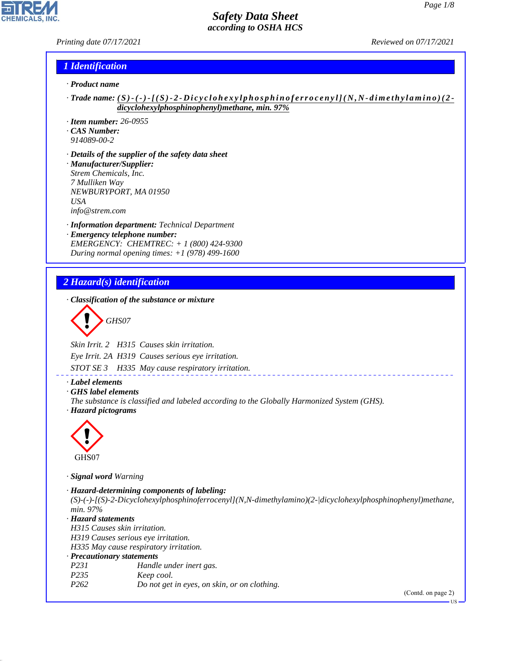*Printing date 07/17/2021 Reviewed on 07/17/2021*

#### *1 Identification*

- *· Product name*
- *· Trade name: ( S ) ( ) [ ( S ) 2 D i c y c l o h e x y l p h osphinoferrocenyl](N ,N-dimethylamino)(2 dicyclohexylphosphinophenyl)methane, min. 97%*
- *· Item number: 26-0955*
- *· CAS Number:*
- *914089-00-2*
- *· Details of the supplier of the safety data sheet · Manufacturer/Supplier: Strem Chemicals, Inc. 7 Mulliken Way NEWBURYPORT, MA 01950 USA info@strem.com*
- *· Information department: Technical Department · Emergency telephone number: EMERGENCY: CHEMTREC: + 1 (800) 424-9300 During normal opening times: +1 (978) 499-1600*

#### *2 Hazard(s) identification*

*· Classification of the substance or mixture*

$$
\bigotimes \mathrm{GH}S07
$$

*Skin Irrit. 2 H315 Causes skin irritation.*

*Eye Irrit. 2A H319 Causes serious eye irritation.*

*STOT SE 3 H335 May cause respiratory irritation.*

#### *· Label elements*

*· GHS label elements*

*The substance is classified and labeled according to the Globally Harmonized System (GHS).*





44.1.1

*· Signal word Warning*

*· Hazard-determining components of labeling: (S)-(-)-[(S)-2-Dicyclohexylphosphinoferrocenyl](N,N-dimethylamino)(2-|dicyclohexylphosphinophenyl)methane, min. 97% · Hazard statements H315 Causes skin irritation. H319 Causes serious eye irritation. H335 May cause respiratory irritation. · Precautionary statements P231 Handle under inert gas. P235 Keep cool. P262 Do not get in eyes, on skin, or on clothing.*

(Contd. on page 2)

US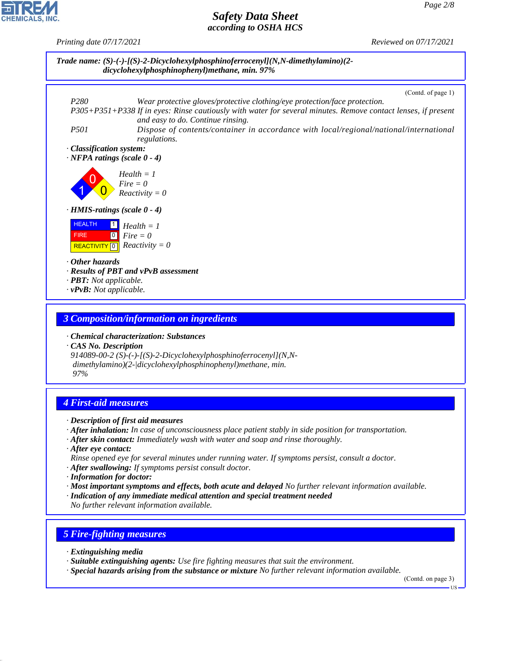*Printing date 07/17/2021 Reviewed on 07/17/2021*



- *· Chemical characterization: Substances*
- *· CAS No. Description 914089-00-2 (S)-(-)-[(S)-2-Dicyclohexylphosphinoferrocenyl](N,N dimethylamino)(2-|dicyclohexylphosphinophenyl)methane, min. 97%*

## *4 First-aid measures*

- *· Description of first aid measures*
- *· After inhalation: In case of unconsciousness place patient stably in side position for transportation.*
- *· After skin contact: Immediately wash with water and soap and rinse thoroughly.*
- *· After eye contact:*
- *Rinse opened eye for several minutes under running water. If symptoms persist, consult a doctor.*
- *· After swallowing: If symptoms persist consult doctor.*
- *· Information for doctor:*
- *· Most important symptoms and effects, both acute and delayed No further relevant information available. · Indication of any immediate medical attention and special treatment needed*

*No further relevant information available.*

## *5 Fire-fighting measures*

*· Extinguishing media*

44.1.1

- *· Suitable extinguishing agents: Use fire fighting measures that suit the environment.*
- *· Special hazards arising from the substance or mixture No further relevant information available.*

(Contd. on page 3)

**TIC**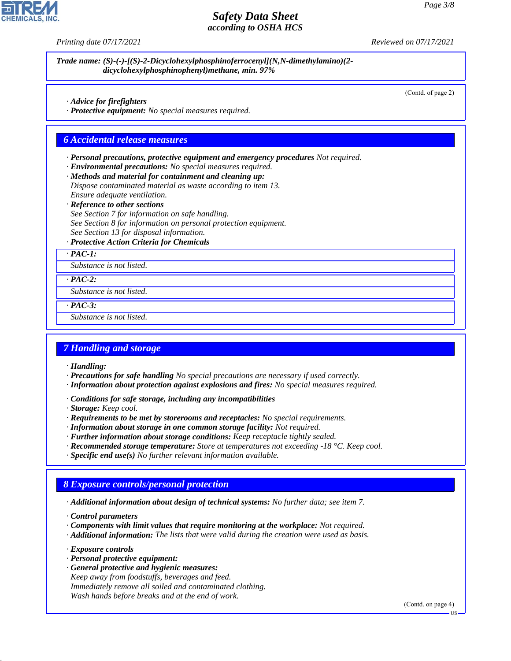*Printing date 07/17/2021 Reviewed on 07/17/2021*

| Advice for firefighters                                                             | (Contd. of page 2) |
|-------------------------------------------------------------------------------------|--------------------|
| · Protective equipment: No special measures required.                               |                    |
|                                                                                     |                    |
| <b>6 Accidental release measures</b>                                                |                    |
| · Personal precautions, protective equipment and emergency procedures Not required. |                    |
| · Environmental precautions: No special measures required.                          |                    |
| · Methods and material for containment and cleaning up:                             |                    |
| Dispose contaminated material as waste according to item 13.                        |                    |
| Ensure adequate ventilation.                                                        |                    |
| · Reference to other sections                                                       |                    |
| See Section 7 for information on safe handling.                                     |                    |
| See Section 8 for information on personal protection equipment.                     |                    |
| See Section 13 for disposal information.                                            |                    |
| · Protective Action Criteria for Chemicals                                          |                    |
| $\cdot$ PAC-1:                                                                      |                    |
| Substance is not listed.                                                            |                    |
| $\cdot$ PAC-2:                                                                      |                    |
| Substance is not listed.                                                            |                    |
| $\cdot$ PAC-3:                                                                      |                    |
| Substance is not listed.                                                            |                    |

#### *7 Handling and storage*

*· Handling:*

**CHEMICALS** 

- *· Precautions for safe handling No special precautions are necessary if used correctly.*
- *· Information about protection against explosions and fires: No special measures required.*
- *· Conditions for safe storage, including any incompatibilities*
- *· Storage: Keep cool.*
- *· Requirements to be met by storerooms and receptacles: No special requirements.*
- *· Information about storage in one common storage facility: Not required.*
- *· Further information about storage conditions: Keep receptacle tightly sealed.*
- *· Recommended storage temperature: Store at temperatures not exceeding -18 °C. Keep cool.*
- *· Specific end use(s) No further relevant information available.*

## *8 Exposure controls/personal protection*

*· Additional information about design of technical systems: No further data; see item 7.*

*· Control parameters*

- *· Components with limit values that require monitoring at the workplace: Not required.*
- *· Additional information: The lists that were valid during the creation were used as basis.*

*· Exposure controls*

44.1.1

- *· Personal protective equipment:*
- *· General protective and hygienic measures: Keep away from foodstuffs, beverages and feed. Immediately remove all soiled and contaminated clothing. Wash hands before breaks and at the end of work.*

(Contd. on page 4)

US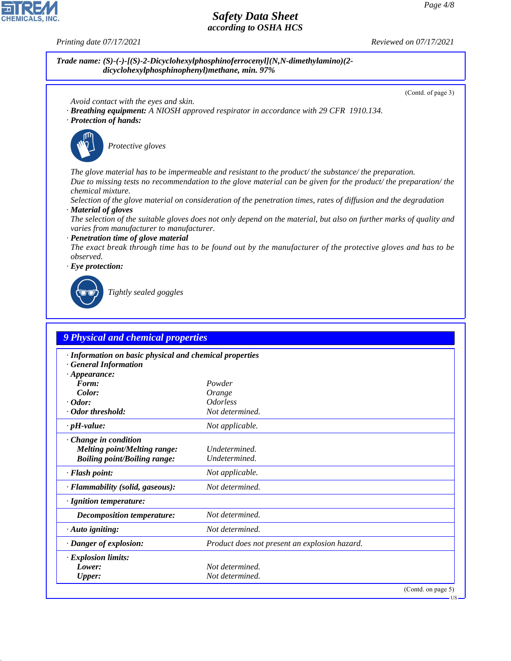**CHEMICALS, INC** 

*Printing date 07/17/2021 Reviewed on 07/17/2021*

*Trade name: (S)-(-)-[(S)-2-Dicyclohexylphosphinoferrocenyl](N,N-dimethylamino)(2 dicyclohexylphosphinophenyl)methane, min. 97%*

(Contd. of page 3)

US

- *Avoid contact with the eyes and skin.*
- *· Breathing equipment: A NIOSH approved respirator in accordance with 29 CFR 1910.134.*
- *· Protection of hands:*



\_S*Protective gloves*

*The glove material has to be impermeable and resistant to the product/ the substance/ the preparation. Due to missing tests no recommendation to the glove material can be given for the product/ the preparation/ the chemical mixture.*

*Selection of the glove material on consideration of the penetration times, rates of diffusion and the degradation · Material of gloves*

*The selection of the suitable gloves does not only depend on the material, but also on further marks of quality and varies from manufacturer to manufacturer.*

*· Penetration time of glove material*

*The exact break through time has to be found out by the manufacturer of the protective gloves and has to be observed.*

*· Eye protection:*



44.1.1

\_R*Tightly sealed goggles*

#### *9 Physical and chemical properties*

| · Information on basic physical and chemical properties<br>· General Information |                                               |
|----------------------------------------------------------------------------------|-----------------------------------------------|
| $\cdot$ Appearance:                                                              |                                               |
| Form:                                                                            | Powder                                        |
| Color:                                                                           | Orange                                        |
| $\cdot$ Odor:                                                                    | <i><u><b>Odorless</b></u></i>                 |
| Odor threshold:                                                                  | Not determined.                               |
| $\cdot$ pH-value:                                                                | Not applicable.                               |
| $\cdot$ Change in condition                                                      |                                               |
| <b>Melting point/Melting range:</b>                                              | Undetermined.                                 |
| <b>Boiling point/Boiling range:</b>                                              | Undetermined.                                 |
| · Flash point:                                                                   | Not applicable.                               |
| $\cdot$ Flammability (solid, gaseous):                                           | Not determined.                               |
| $\cdot$ Ignition temperature:                                                    |                                               |
| <b>Decomposition temperature:</b>                                                | Not determined.                               |
| $\cdot$ Auto igniting:                                                           | Not determined.                               |
| · Danger of explosion:                                                           | Product does not present an explosion hazard. |
| $\cdot$ Explosion limits:                                                        |                                               |
| Lower:                                                                           | Not determined.                               |
| <b>Upper:</b>                                                                    | Not determined.                               |
|                                                                                  | (Contd. on page 5)                            |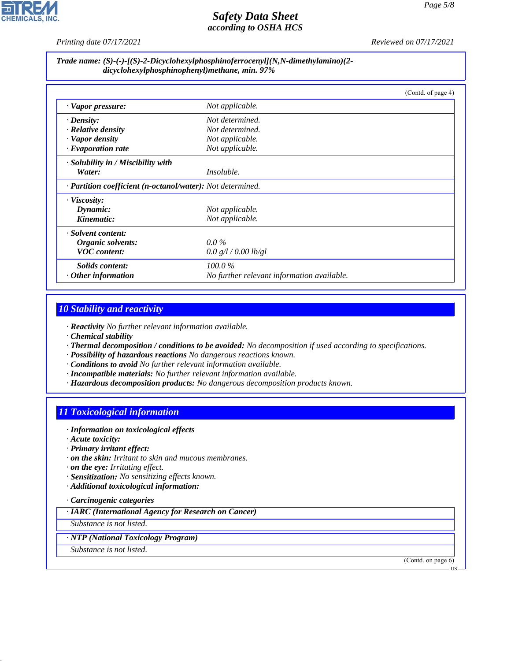*Printing date 07/17/2021 Reviewed on 07/17/2021*

#### *Trade name: (S)-(-)-[(S)-2-Dicyclohexylphosphinoferrocenyl](N,N-dimethylamino)(2 dicyclohexylphosphinophenyl)methane, min. 97%*

|                                                                         |                                            | (Contd. of page 4) |
|-------------------------------------------------------------------------|--------------------------------------------|--------------------|
| · Vapor pressure:                                                       | Not applicable.                            |                    |
| $\cdot$ Density:                                                        | Not determined.                            |                    |
| $\cdot$ Relative density                                                | Not determined.                            |                    |
| · Vapor density                                                         | Not applicable.                            |                    |
| $\cdot$ Evaporation rate                                                | Not applicable.                            |                    |
| · Solubility in / Miscibility with                                      |                                            |                    |
| Water:                                                                  | <i>Insoluble.</i>                          |                    |
| $\cdot$ <b>Partition coefficient (n-octanol/water):</b> Not determined. |                                            |                    |
| · Viscosity:                                                            |                                            |                    |
| Dynamic:                                                                | Not applicable.                            |                    |
| Kinematic:                                                              | Not applicable.                            |                    |
| · Solvent content:                                                      |                                            |                    |
| Organic solvents:                                                       | $0.0\%$                                    |                    |
| <b>VOC</b> content:                                                     | 0.0 g/l / 0.00 lb/gl                       |                    |
| Solids content:                                                         | $100.0\%$                                  |                    |
| $\cdot$ Other information                                               | No further relevant information available. |                    |

# *10 Stability and reactivity*

*· Reactivity No further relevant information available.*

- *· Chemical stability*
- *· Thermal decomposition / conditions to be avoided: No decomposition if used according to specifications.*
- *· Possibility of hazardous reactions No dangerous reactions known.*
- *· Conditions to avoid No further relevant information available.*
- *· Incompatible materials: No further relevant information available.*
- *· Hazardous decomposition products: No dangerous decomposition products known.*

# *11 Toxicological information*

- *· Information on toxicological effects*
- *· Acute toxicity:*
- *· Primary irritant effect:*
- *· on the skin: Irritant to skin and mucous membranes.*
- *· on the eye: Irritating effect.*
- *· Sensitization: No sensitizing effects known.*
- *· Additional toxicological information:*
- *· Carcinogenic categories*
- *· IARC (International Agency for Research on Cancer)*
- *Substance is not listed.*
- *· NTP (National Toxicology Program)*
- *Substance is not listed.*

44.1.1

(Contd. on page 6)

US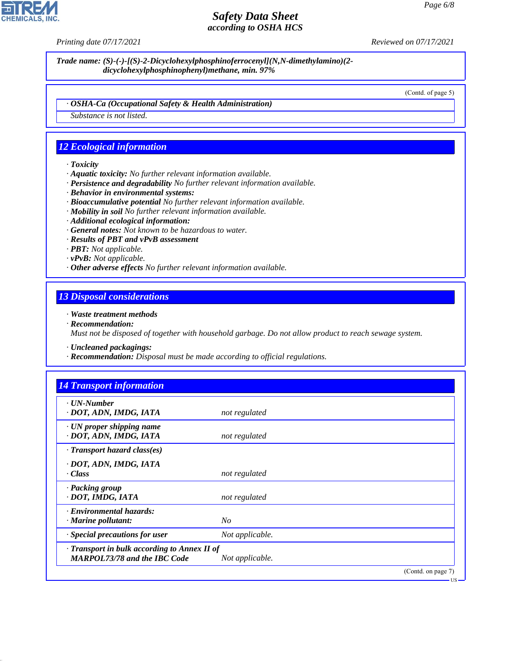*Printing date 07/17/2021 Reviewed on 07/17/2021*

*Trade name: (S)-(-)-[(S)-2-Dicyclohexylphosphinoferrocenyl](N,N-dimethylamino)(2 dicyclohexylphosphinophenyl)methane, min. 97%*

(Contd. of page 5)

*· OSHA-Ca (Occupational Safety & Health Administration)*

*Substance is not listed.*

## *12 Ecological information*

- *· Toxicity*
- *· Aquatic toxicity: No further relevant information available.*
- *· Persistence and degradability No further relevant information available.*
- *· Behavior in environmental systems:*
- *· Bioaccumulative potential No further relevant information available.*
- *· Mobility in soil No further relevant information available.*
- *· Additional ecological information:*
- *· General notes: Not known to be hazardous to water.*
- *· Results of PBT and vPvB assessment*
- *· PBT: Not applicable.*
- *· vPvB: Not applicable.*
- *· Other adverse effects No further relevant information available.*

#### *13 Disposal considerations*

- *· Waste treatment methods*
- *· Recommendation:*

*Must not be disposed of together with household garbage. Do not allow product to reach sewage system.*

- *· Uncleaned packagings:*
- *· Recommendation: Disposal must be made according to official regulations.*

| $\cdot$ UN-Number                                         |                 |  |
|-----------------------------------------------------------|-----------------|--|
| · DOT, ADN, IMDG, IATA                                    | not regulated   |  |
| $\cdot$ UN proper shipping name<br>· DOT, ADN, IMDG, IATA | not regulated   |  |
| $\cdot$ Transport hazard class(es)                        |                 |  |
| · DOT, ADN, IMDG, IATA                                    |                 |  |
| · Class                                                   | not regulated   |  |
| · Packing group                                           |                 |  |
| · DOT, IMDG, IATA                                         | not regulated   |  |
| · Environmental hazards:                                  |                 |  |
| $\cdot$ Marine pollutant:                                 | N <sub>O</sub>  |  |
| · Special precautions for user                            | Not applicable. |  |
| $\cdot$ Transport in bulk according to Annex II of        |                 |  |
| <b>MARPOL73/78 and the IBC Code</b>                       | Not applicable. |  |



44.1.1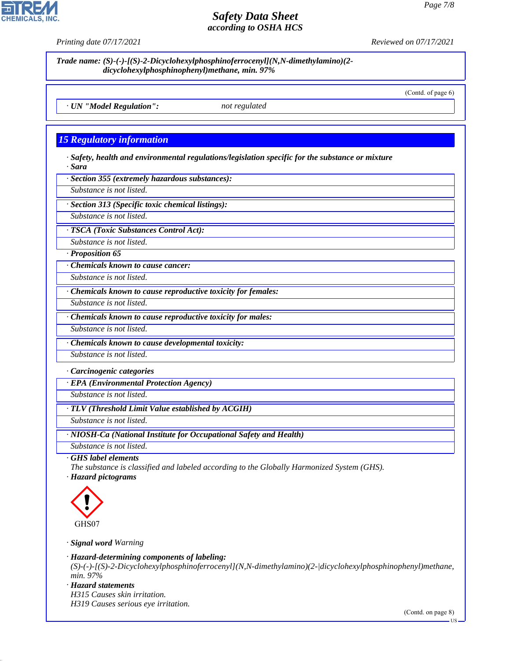*Trade name: (S)-(-)-[(S)-2-Dicyclohexylphosphinoferrocenyl](N,N-dimethylamino)(2 dicyclohexylphosphinophenyl)methane, min. 97%* (Contd. of page 6) *· UN "Model Regulation": not regulated 15 Regulatory information · Safety, health and environmental regulations/legislation specific for the substance or mixture · Sara · Section 355 (extremely hazardous substances): Substance is not listed. · Section 313 (Specific toxic chemical listings): Substance is not listed. · TSCA (Toxic Substances Control Act): Substance is not listed. · Proposition 65 · Chemicals known to cause cancer: Substance is not listed. · Chemicals known to cause reproductive toxicity for females: Substance is not listed. · Chemicals known to cause reproductive toxicity for males: Substance is not listed. · Chemicals known to cause developmental toxicity: Substance is not listed. · Carcinogenic categories · EPA (Environmental Protection Agency) Substance is not listed. · TLV (Threshold Limit Value established by ACGIH) Substance is not listed. · NIOSH-Ca (National Institute for Occupational Safety and Health) Substance is not listed.*

*· GHS label elements*

*The substance is classified and labeled according to the Globally Harmonized System (GHS).*

*· Hazard pictograms*



*· Signal word Warning*

*· Hazard-determining components of labeling:*

*(S)-(-)-[(S)-2-Dicyclohexylphosphinoferrocenyl](N,N-dimethylamino)(2-|dicyclohexylphosphinophenyl)methane, min. 97%*

*· Hazard statements*

44.1.1

*H315 Causes skin irritation. H319 Causes serious eye irritation.*

(Contd. on page 8)

US



*Printing date 07/17/2021 Reviewed on 07/17/2021*